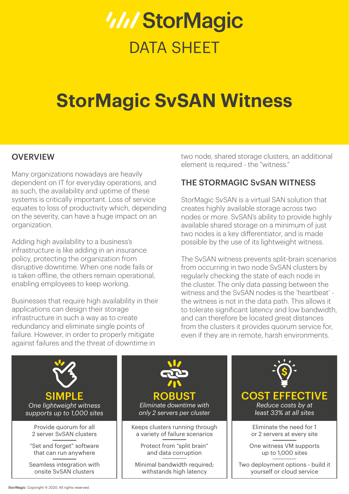# *WIStorMagic* DATA SHEFT

# **StorMagic SvSAN Witness**

### **OVERVIEW**

Many organizations nowadays are heavily dependent on IT for everyday operations, and as such, the availability and uptime of these systems is critically important. Loss of service equates to loss of productivity which, depending on the severity, can have a huge impact on an organization.

Adding high availability to a business's infrastructure is like adding in an insurance policy, protecting the organization from disruptive downtime. When one node fails or is taken offline, the others remain operational, enabling employees to keep working.

Businesses that require high availability in their applications can design their storage infrastructure in such a way as to create redundancy and eliminate single points of failure. However, in order to properly mitigate against failures and the threat of downtime in

two node, shared storage clusters, an additional element is required - the "witness."

# THE STORMAGIC SvSAN WITNESS

StorMagic SvSAN is a virtual SAN solution that creates highly available storage across two nodes or more. SvSAN's ability to provide highly available shared storage on a minimum of just two nodes is a key differentiator, and is made possible by the use of its lightweight witness.

The SvSAN witness prevents split-brain scenarios from occurring in two node SvSAN clusters by regularly checking the state of each node in the cluster. The only data passing between the witness and the SvSAN nodes is the 'heartbeat' the witness is not in the data path. This allows it to tolerate significant latency and low bandwidth, and can therefore be located great distances from the clusters it provides quorum service for, even if they are in remote, harsh environments.